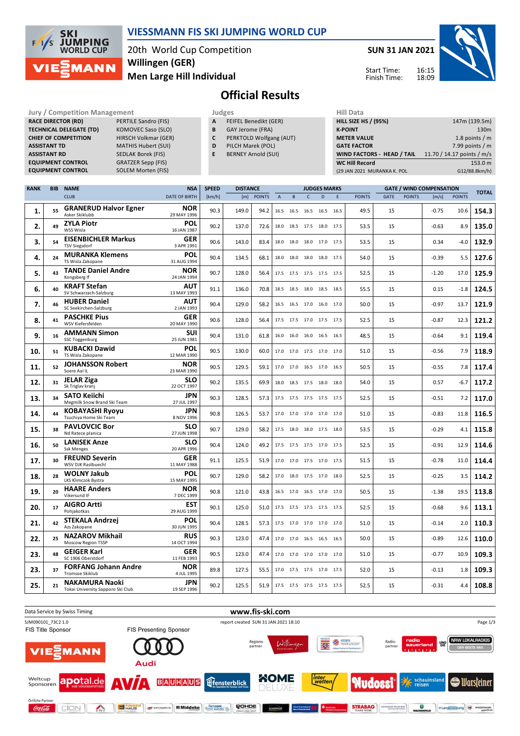

### **VIESSMANN FIS SKI JUMPING WORLD CUP**

20th World Cup Competition **Men Large Hill Individual Willingen (GER)**

**SUN 31 JAN 2021**



Start Time: Finish Time:

## **Official Results**

| Jury / Competition Management  |                             |   | Judges                     | <b>Hill Data</b>                  |                            |  |  |
|--------------------------------|-----------------------------|---|----------------------------|-----------------------------------|----------------------------|--|--|
| <b>RACE DIRECTOR (RD)</b>      | PERTILE Sandro (FIS)        | A | FEIFEL Benedikt (GER)      | <b>HILL SIZE HS / (95%)</b>       | 147m (139.5m)              |  |  |
| <b>TECHNICAL DELEGATE (TD)</b> | KOMOVEC Saso (SLO)          | В | GAY Jerome (FRA)           | <b>K-POINT</b>                    | 130m                       |  |  |
| <b>CHIEF OF COMPETITION</b>    | <b>HIRSCH Volkmar (GER)</b> |   | PERKTOLD Wolfgang (AUT)    | <b>METER VALUE</b>                | 1.8 points / $m$           |  |  |
| <b>ASSISTANT TD</b>            | <b>MATHIS Hubert (SUI)</b>  | D | PILCH Marek (POL)          | <b>GATE FACTOR</b>                | 7.99 points $/m$           |  |  |
| <b>ASSISTANT RD</b>            | SEDLAK Borek (FIS)          | Е | <b>BERNEY Arnold (SUI)</b> | <b>WIND FACTORS - HEAD / TAIL</b> | 11.70 / 14.17 points / m/s |  |  |
| <b>EQUIPMENT CONTROL</b>       | <b>GRATZER Sepp (FIS)</b>   |   |                            | <b>WC Hill Record</b>             | 153.0 m                    |  |  |
| <b>EQUIPMENT CONTROL</b>       | SOLEM Morten (FIS)          |   |                            | (29 JAN 2021 MURANKA K. POL       | G12/88.8km/h)              |  |  |

| <b>RANK</b> | <b>BIB</b> | <b>NAME</b>                                                | <b>NSA</b>                | <b>SPEED</b><br><b>DISTANCE</b> |       |               |                | <b>JUDGES MARKS</b> |                          |           |      |               | <b>GATE / WIND COMPENSATION</b> |               |         |               |              |
|-------------|------------|------------------------------------------------------------|---------------------------|---------------------------------|-------|---------------|----------------|---------------------|--------------------------|-----------|------|---------------|---------------------------------|---------------|---------|---------------|--------------|
|             |            | <b>CLUB</b>                                                | <b>DATE OF BIRTH</b>      | [km/h]                          | [m]   | <b>POINTS</b> | $\overline{A}$ | B                   | $\mathsf{C}$             | D         | E    | <b>POINTS</b> | <b>GATE</b>                     | <b>POINTS</b> | [m/s]   | <b>POINTS</b> | <b>TOTAL</b> |
| 1.          | 55         | <b>GRANERUD Halvor Egner</b><br>Asker Skiklubb             | <b>NOR</b><br>29 MAY 1996 | 90.3                            | 149.0 | 94.2          |                |                     | 16.5 16.5 16.5 16.5 16.5 |           |      | 49.5          | 15                              |               | $-0.75$ | 10.6          | 154.3        |
| 2.          | 49         | <b>ZYLA Piotr</b><br>WSS Wisla                             | POL<br>16 JAN 1987        | 90.2                            | 137.0 | 72.6          |                | 18.0 18.5           | 17.5 18.0 17.5           |           |      | 53.5          | 15                              |               | $-0.63$ | 8.9           | 135.0        |
| з.          | 54         | <b>EISENBICHLER Markus</b><br><b>TSV Siegsdorf</b>         | <b>GER</b><br>3 APR 1991  | 90.6                            | 143.0 | 83.4          |                | 18.0 18.0           | 18.0 17.0                |           | 17.5 | 53.5          | 15                              |               | 0.34    | $-4.0$        | 132.9        |
| 4.          | 24         | <b>MURANKA Klemens</b><br>TS Wisla Zakopane                | <b>POL</b><br>31 AUG 1994 | 90.4                            | 134.5 | 68.1          | 18.0           | 18.0                | 18.0                     | 18.0 17.5 |      | 54.0          | 15                              |               | $-0.39$ | 5.5           | 127.6        |
| 5.          | 43         | <b>TANDE Daniel Andre</b><br>Kongsberg If                  | <b>NOR</b><br>24 JAN 1994 | 90.7                            | 128.0 | 56.4          |                | 17.5 17.5           | 17.5 17.5 17.5           |           |      | 52.5          | 15                              |               | $-1.20$ | 17.0          | 125.9        |
| 6.          | 40         | <b>KRAFT Stefan</b><br>SV Schwarzach-Salzburg              | <b>AUT</b><br>13 MAY 1993 | 91.1                            | 136.0 | 70.8          |                | 18.5 18.5           | 18.0 18.5 18.5           |           |      | 55.5          | 15                              |               | 0.15    | $-1.8$        | 124.5        |
| 7.          | 46         | <b>HUBER Daniel</b><br>SC Seekirchen-Salzburg              | AUT<br>2 JAN 1993         | 90.4                            | 129.0 | 58.2          |                | 16.5 16.5           | 17.0 16.0 17.0           |           |      | 50.0          | 15                              |               | $-0.97$ | 13.7          | 121.9        |
| 8.          | 41         | <b>PASCHKE Pius</b><br>WSV Kiefersfelden                   | <b>GER</b><br>20 MAY 1990 | 90.6                            | 128.0 | 56.4          |                |                     | 17.5 17.5 17.0 17.5 17.5 |           |      | 52.5          | 15                              |               | $-0.87$ | 12.3          | 121.2        |
| 9.          | 16         | <b>AMMANN Simon</b><br><b>SSC Toggenburg</b>               | <b>SUI</b><br>25 JUN 1981 | 90.4                            | 131.0 | 61.8          |                | 16.0 16.0           | 16.0                     | 16.5      | 16.5 | 48.5          | 15                              |               | $-0.64$ | 9.1           | 119.4        |
| 10.         | 51         | <b>KUBACKI Dawid</b><br>TS Wisla Zakopane                  | <b>POL</b><br>12 MAR 1990 | 90.5                            | 130.0 | 60.0          | 17.0 17.0      |                     | 17.5 17.0 17.0           |           |      | 51.0          | 15                              |               | $-0.56$ | 7.9           | 118.9        |
| 11.         | 52         | <b>JOHANSSON Robert</b><br>Soere Aal IL                    | <b>NOR</b><br>23 MAR 1990 | 90.5                            | 129.5 | 59.1          |                |                     | 17.0 17.0 16.5 17.0 16.5 |           |      | 50.5          | 15                              |               | $-0.55$ | 7.8           | 117.4        |
| 12.         | 31         | <b>JELAR Ziga</b><br>Sk Triglav kranj                      | <b>SLO</b><br>22 OCT 1997 | 90.2                            | 135.5 | 69.9          |                |                     | 18.0 18.5 17.5 18.0 18.0 |           |      | 54.0          | 15                              |               | 0.57    | $-6.7$        | 117.2        |
| 13.         | 34         | <b>SATO Keiichi</b><br>Megmilk Snow Brand Ski Team         | <b>JPN</b><br>27 JUL 1997 | 90.3                            | 128.5 | 57.3          |                |                     | 17.5 17.5 17.5 17.5 17.5 |           |      | 52.5          | 15                              |               | -0.51   | 7.2           | 117.0        |
| 14.         | 44         | <b>KOBAYASHI Ryoyu</b><br>Tsuchiya Home Ski Team           | JPN<br>8 NOV 1996         | 90.8                            | 126.5 | 53.7          |                | 17.0 17.0           | 17.0 17.0 17.0           |           |      | 51.0          | 15                              |               | $-0.83$ | 11.8          | 116.5        |
| 15.         | 38         | <b>PAVLOVCIC Bor</b><br>Nd Ratece planica                  | <b>SLO</b><br>27 JUN 1998 | 90.7                            | 129.0 | 58.2          | 17.5 18.0      |                     | 18.0 17.5                |           | 18.0 | 53.5          | 15                              |               | $-0.29$ | 4.1           | 115.8        |
| 16.         | 50         | <b>LANISEK Anze</b><br><b>Ssk Menges</b>                   | <b>SLO</b><br>20 APR 1996 | 90.4                            | 124.0 | 49.2          |                | 17.5 17.5           | 17.5 17.0 17.5           |           |      | 52.5          | 15                              |               | $-0.91$ | 12.9          | 114.6        |
| 17.         | 30         | <b>FREUND Severin</b><br>WSV DJK Rastbuechl                | GER<br>11 MAY 1988        | 91.1                            | 125.5 | 51.9          |                |                     | 17.0 17.0 17.5 17.0 17.5 |           |      | 51.5          | 15                              |               | $-0.78$ | 11.0          | 114.4        |
| 18.         | 28         | <b>WOLNY Jakub</b><br>LKS Klimczok Bystra                  | <b>POL</b><br>15 MAY 1995 | 90.7                            | 129.0 | 58.2          |                |                     | 17.0 18.0 17.5 17.0 18.0 |           |      | 52.5          | 15                              |               | $-0.25$ | 3.5           | 114.2        |
| 19.         | 20         | <b>HAARE Anders</b><br>Vikersund IF                        | <b>NOR</b><br>7 DEC 1999  | 90.8                            | 121.0 | 43.8          |                | 16.5 17.0           | 16.5 17.0 17.0           |           |      | 50.5          | 15                              |               | $-1.38$ | 19.5          | 113.8        |
| 20.         | 17         | <b>AIGRO Artti</b><br>Pohjakotkas                          | <b>EST</b><br>29 AUG 1999 | 90.1                            | 125.0 | 51.0          |                |                     | 17.5 17.5 17.5 17.5 17.5 |           |      | 52.5          | 15                              |               | $-0.68$ | 9.6           | 113.1        |
| 21.         | 42         | <b>STEKALA Andrzej</b><br>Azs Zakopane                     | <b>POL</b><br>30 JUN 1995 | 90.4                            | 128.5 | 57.3          | 17.5 17.0      |                     | 17.0 17.0 17.0           |           |      | 51.0          | 15                              |               | $-0.14$ | 2.0           | 110.3        |
| 22.         | 25         | <b>NAZAROV Mikhail</b><br>Moscow Region TSSP               | <b>RUS</b><br>14 OCT 1994 | 90.3                            | 123.0 | 47.4          |                | 17.0 17.0           | 16.5                     | 16.5 16.5 |      | 50.0          | 15                              |               | $-0.89$ | 12.6          | 110.0        |
| 23.         | 48         | <b>GEIGER Karl</b><br>SC 1906 Oberstdorf                   | <b>GER</b><br>11 FEB 1993 | 90.5                            | 123.0 | 47.4          |                |                     | 17.0 17.0 17.0 17.0 17.0 |           |      | 51.0          | 15                              |               | $-0.77$ | 10.9          | 109.3        |
| 23.         | 37         | <b>FORFANG Johann Andre</b><br><b>Tromsoe Skiklub</b>      | <b>NOR</b><br>4 JUL 1995  | 89.8                            | 127.5 | 55.5          |                |                     | 17.0 17.5 17.5 17.0 17.5 |           |      | 52.0          | 15                              |               | $-0.13$ | 1.8           | 109.3        |
| 25.         | 21         | <b>NAKAMURA Naoki</b><br>Tokai University Sapporo Ski Club | JPN<br>19 SEP 1996        | 90.2                            | 125.5 | 51.9          |                |                     | 17.5 17.5 17.5 17.5 17.5 |           |      | 52.5          | 15                              |               | $-0.31$ | 4.4           | 108.8        |

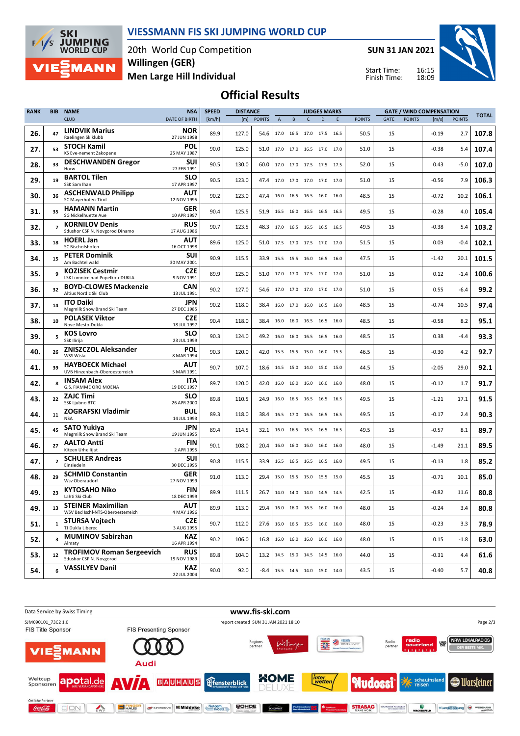

**MANN** 

#### **VIESSMANN FIS SKI JUMPING WORLD CUP**

20th World Cup Competition **Men Large Hill Individual Willingen (GER)**

**SUN 31 JAN 2021**

Start Time: Finish Time:



# **Official Results**

| <b>RANK</b> | <b>BIB</b>              | <b>NAME</b>                                                    | <b>NSA</b>                | <b>SPEED</b> | <b>DISTANCE</b><br><b>JUDGES MARKS</b> |               |                |           | <b>GATE / WIND COMPENSATION</b> |           |   |               |             |               |         |               |              |
|-------------|-------------------------|----------------------------------------------------------------|---------------------------|--------------|----------------------------------------|---------------|----------------|-----------|---------------------------------|-----------|---|---------------|-------------|---------------|---------|---------------|--------------|
|             |                         | <b>CLUB</b>                                                    | <b>DATE OF BIRTH</b>      | [km/h]       | [m]                                    | <b>POINTS</b> | $\overline{A}$ | B         | $\mathsf{C}$                    | D         | E | <b>POINTS</b> | <b>GATE</b> | <b>POINTS</b> | [m/s]   | <b>POINTS</b> | <b>TOTAL</b> |
| 26.         | 47                      | <b>LINDVIK Marius</b><br>Raelingen Skiklubb                    | <b>NOR</b><br>27 JUN 1998 | 89.9         | 127.0                                  | 54.6          |                |           | 17.0 16.5 17.0 17.5 16.5        |           |   | 50.5          | 15          |               | $-0.19$ | 2.7           | 107.8        |
| 27.         | 53                      | <b>STOCH Kamil</b><br>KS Eve-nement Zakopane                   | POL<br>25 MAY 1987        | 90.0         | 125.0                                  | 51.0          |                |           | 17.0 17.0 16.5 17.0 17.0        |           |   | 51.0          | 15          |               | $-0.38$ | 5.4           | 107.4        |
| 28.         | 33                      | <b>DESCHWANDEN Gregor</b><br>Horw                              | SUI<br>27 FEB 1991        | 90.5         | 130.0                                  | 60.0          |                |           | 17.0 17.0 17.5 17.5 17.5        |           |   | 52.0          | 15          |               | 0.43    | -5.0          | 107.0        |
| 29.         | 19                      | <b>BARTOL Tilen</b><br>SSK Sam Ihan                            | <b>SLO</b><br>17 APR 1997 | 90.5         | 123.0                                  | 47.4          |                |           | 17.0 17.0 17.0 17.0 17.0        |           |   | 51.0          | 15          |               | $-0.56$ | 7.9           | 106.3        |
| 30.         | 36                      | <b>ASCHENWALD Philipp</b><br>SC Mayerhofen-Tirol               | <b>AUT</b><br>12 NOV 1995 | 90.2         | 123.0                                  | 47.4          |                |           | 16.0 16.5 16.5 16.0 16.0        |           |   | 48.5          | 15          |               | $-0.72$ | 10.2          | 106.1        |
| 31.         | 35                      | <b>HAMANN Martin</b><br>SG Nickelhuette Aue                    | <b>GER</b><br>10 APR 1997 | 90.4         | 125.5                                  | 51.9          |                | 16.5 16.0 | 16.5 16.5 16.5                  |           |   | 49.5          | 15          |               | $-0.28$ | 4.0           | 105.4        |
| 32.         | $\overline{ }$          | <b>KORNILOV Denis</b><br>Sdushor CSP N. Novgorod Dinamo        | <b>RUS</b><br>17 AUG 1986 | 90.7         | 123.5                                  | 48.3          |                |           | 17.0 16.5 16.5 16.5 16.5        |           |   | 49.5          | 15          |               | $-0.38$ | 5.4           | 103.2        |
| 33.         | 18                      | <b>HOERL Jan</b><br>SC Bischofshofen                           | <b>AUT</b><br>16 OCT 1998 | 89.6         | 125.0                                  | 51.0          |                |           | 17.5 17.0 17.5 17.0 17.0        |           |   | 51.5          | 15          |               | 0.03    | -0.4          | 102.1        |
| 34.         | 15                      | <b>PETER Dominik</b><br>Am Bachtel wald                        | SUI<br>30 MAY 2001        | 90.9         | 115.5                                  | 33.9          |                |           | 15.5 15.5 16.0 16.5 16.0        |           |   | 47.5          | 15          |               | $-1.42$ | 20.1          | 101.5        |
| 35.         | 9                       | <b>KOZISEK Cestmir</b><br>LSK Lomnice nad Popelkou-DUKLA       | <b>CZE</b><br>9 NOV 1991  | 89.9         | 125.0                                  | 51.0          |                |           | 17.0 17.0 17.5 17.0 17.0        |           |   | 51.0          | 15          |               | 0.12    | $-1.4$        | 100.6        |
| 36.         | 32                      | <b>BOYD-CLOWES Mackenzie</b><br>Altius Nordic Ski Club         | CAN<br>13 JUL 1991        | 90.2         | 127.0                                  | 54.6          |                |           | 17.0 17.0 17.0 17.0 17.0        |           |   | 51.0          | 15          |               | 0.55    | $-6.4$        | 99.2         |
| 37.         | 14                      | <b>ITO Daiki</b><br>Megmilk Snow Brand Ski Team                | JPN<br>27 DEC 1985        | 90.2         | 118.0                                  | 38.4          |                |           | 16.0 17.0 16.0 16.5 16.0        |           |   | 48.5          | 15          |               | $-0.74$ | 10.5          | 97.4         |
| 38.         | 10                      | <b>POLASEK Viktor</b><br>Nove Mesto-Dukla                      | <b>CZE</b><br>18 JUL 1997 | 90.4         | 118.0                                  | 38.4          |                |           | 16.0 16.0 16.5 16.5 16.0        |           |   | 48.5          | 15          |               | $-0.58$ | 8.2           | 95.1         |
| 39.         | 5                       | <b>KOS Lovro</b><br>SSK Ilirija                                | SLO<br>23 JUL 1999        | 90.3         | 124.0                                  | 49.2          |                |           | 16.0 16.0 16.5 16.5 16.0        |           |   | 48.5          | 15          |               | 0.38    | $-4.4$        | 93.3         |
| 40.         | 26                      | <b>ZNISZCZOL Aleksander</b><br>WSS Wisla                       | POL<br>8 MAR 1994         | 90.3         | 120.0                                  | 42.0          |                |           | 15.5 15.5 15.0 16.0 15.5        |           |   | 46.5          | 15          |               | $-0.30$ | 4.2           | 92.7         |
| 41.         | 39                      | <b>HAYBOECK Michael</b><br>UVB Hinzenbach-Oberoesterreich      | AUT<br>5 MAR 1991         | 90.7         | 107.0                                  | 18.6          |                | 14.5 15.0 | 14.0                            | 15.0 15.0 |   | 44.5          | 15          |               | $-2.05$ | 29.0          | 92.1         |
| 42.         | 8                       | <b>INSAM Alex</b><br>G.S. FIAMME ORO MOENA                     | ITA<br>19 DEC 1997        | 89.7         | 120.0                                  | 42.0          |                |           | 16.0 16.0 16.0 16.0 16.0        |           |   | 48.0          | 15          |               | $-0.12$ | 1.7           | 91.7         |
| 43.         | 22                      | <b>ZAJC Timi</b><br><b>SSK Ljubno BTC</b>                      | <b>SLO</b><br>26 APR 2000 | 89.8         | 110.5                                  | 24.9          |                | 16.0 16.5 | 16.5                            | 16.5 16.5 |   | 49.5          | 15          |               | $-1.21$ | 17.1          | 91.5         |
| 44.         | 11                      | <b>ZOGRAFSKI Vladimir</b><br><b>NSA</b>                        | BUL<br>14 JUL 1993        | 89.3         | 118.0                                  | 38.4          |                |           | 16.5 17.0 16.5 16.5 16.5        |           |   | 49.5          | 15          |               | $-0.17$ | 2.4           | 90.3         |
| 45.         | 45                      | SATO Yukiya<br>Megmilk Snow Brand Ski Team                     | JPN<br>19 JUN 1995        | 89.4         | 114.5                                  | 32.1          |                | 16.0 16.5 | 16.5                            | 16.5 16.5 |   | 49.5          | 15          |               | $-0.57$ | 8.1           | 89.7         |
| 46.         | 27                      | <b>AALTO Antti</b><br>Kiteen Urheilijat                        | FIN<br>2 APR 1995         | 90.1         | 108.0                                  | 20.4          |                | 16.0 16.0 | 16.0 16.0 16.0                  |           |   | 48.0          | 15          |               | $-1.49$ | 21.1          | 89.5         |
| 47.         | $\overline{2}$          | <b>SCHULER Andreas</b><br>Einsiedeln                           | SUI<br>30 DEC 1995        | 90.8         | 115.5                                  | 33.9          |                |           | 16.5 16.5 16.5 16.5 16.0        |           |   | 49.5          | 15          |               | $-0.13$ | 1.8           | 85.2         |
| 48.         | 29                      | <b>SCHMID Constantin</b><br>Wsv Oberaudorf                     | GER<br>27 NOV 1999        | 91.0         | 113.0                                  | 29.4          |                |           | 15.0 15.5 15.0 15.5 15.0        |           |   | 45.5          | 15          |               | $-0.71$ | 10.1          | 85.0         |
| 49.         | 23                      | <b>KYTOSAHO Niko</b><br>Lahti Ski Club                         | FIN<br>18 DEC 1999        | 89.9         | 111.5                                  | 26.7          |                |           | 14.0 14.0 14.0 14.5 14.5        |           |   | 42.5          | 15          |               | $-0.82$ | 11.6          | 80.8         |
| 49.         | 13                      | <b>STEINER Maximilian</b><br>WSV Bad Ischl-NTS-Oberoesterreich | <b>AUT</b><br>4 MAY 1996  | 89.9         | 113.0                                  | 29.4          |                |           | 16.0 16.0 16.5 16.0 16.0        |           |   | 48.0          | 15          |               | $-0.24$ | 3.4           | 80.8         |
| 51.         | $\mathbf{1}$            | <b>STURSA Voitech</b><br>TJ Dukla Liberec                      | <b>CZE</b><br>3 AUG 1995  | 90.7         | 112.0                                  | 27.6          |                |           | 16.0 16.5 15.5 16.0 16.0        |           |   | 48.0          | 15          |               | $-0.23$ | 3.3           | 78.9         |
| 52.         | $\overline{\mathbf{3}}$ | <b>MUMINOV Sabirzhan</b><br>Almaty                             | <b>KAZ</b><br>16 APR 1994 | 90.2         | 106.0                                  | 16.8          |                |           | 16.0 16.0 16.0 16.0 16.0        |           |   | 48.0          | 15          |               | 0.15    | $-1.8$        | 63.0         |
| 53.         | 12                      | <b>TROFIMOV Roman Sergeevich</b><br>Sdushor CSP N. Novgorod    | <b>RUS</b><br>19 NOV 1989 | 89.8         | 104.0                                  | 13.2          |                |           | 14.5 15.0 14.5 14.5 16.0        |           |   | 44.0          | 15          |               | $-0.31$ | 4.4           | 61.6         |
| 54.         |                         | <b>VASSILYEV Danil</b>                                         | <b>KAZ</b><br>22 JUL 2004 | 90.0         | 92.0                                   | -8.4          |                |           | 15.5 14.5 14.0 15.0 14.0        |           |   | 43.5          | 15          |               | $-0.40$ | 5.7           | 40.8         |